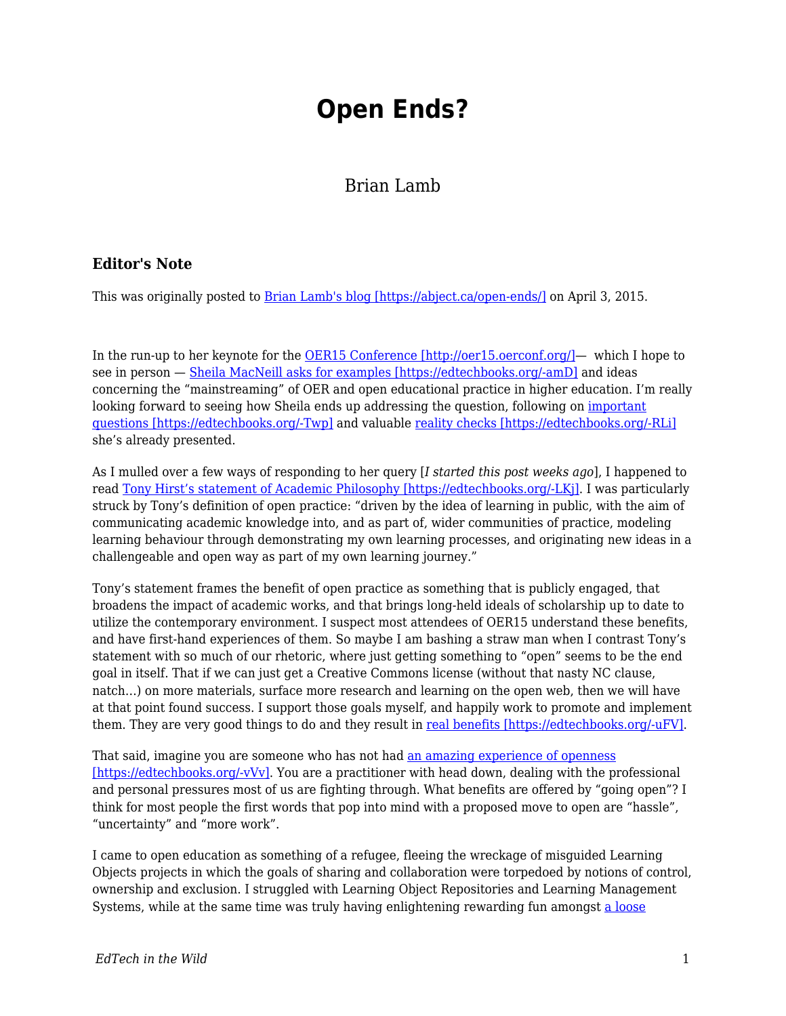## **Open Ends?**

## Brian Lamb

## **Editor's Note**

This was originally posted to **Brian Lamb's blog [https://abject.ca/open-ends/]** on April 3, 2015.

In the run-up to her keynote for the [OER15 Conference \[http://oer15.oerconf.org/\]](http://oer15.oerconf.org/)— which I hope to see in person — [Sheila MacNeill asks for examples \[https://edtechbooks.org/-amD\]](https://howsheilaseesit.wordpress.com/2015/02/23/how-do-you-mainstream-open-education-and-oers-a-bit-of-feedback-sought-for-oer15/) and ideas concerning the "mainstreaming" of OER and open educational practice in higher education. I'm really looking forward to seeing how Sheila ends up addressing the question, following on [important](https://howsheilaseesit.wordpress.com/2014/03/16/guest-post-why-the-opposite-of-open-isnt-necessarily-broken/) [questions \[https://edtechbooks.org/-Twp\]](https://howsheilaseesit.wordpress.com/2014/03/16/guest-post-why-the-opposite-of-open-isnt-necessarily-broken/) and valuable [reality checks \[https://edtechbooks.org/-RLi\]](https://howsheilaseesit.wordpress.com/2014/06/06/open-education-practice-luxury-item-or-everyday-essential-openscot/) she's already presented.

As I mulled over a few ways of responding to her query [*I started this post weeks ago*], I happened to read [Tony Hirst's statement of Academic Philosophy \[https://edtechbooks.org/-LKj\]](http://blog.ouseful.info/2015/02/19/open-practice-and-my-academic-philosophy-sort-of-erm-maybe-perhaps/). I was particularly struck by Tony's definition of open practice: "driven by the idea of learning in public, with the aim of communicating academic knowledge into, and as part of, wider communities of practice, modeling learning behaviour through demonstrating my own learning processes, and originating new ideas in a challengeable and open way as part of my own learning journey."

Tony's statement frames the benefit of open practice as something that is publicly engaged, that broadens the impact of academic works, and that brings long-held ideals of scholarship up to date to utilize the contemporary environment. I suspect most attendees of OER15 understand these benefits, and have first-hand experiences of them. So maybe I am bashing a straw man when I contrast Tony's statement with so much of our rhetoric, where just getting something to "open" seems to be the end goal in itself. That if we can just get a Creative Commons license (without that nasty NC clause, natch…) on more materials, surface more research and learning on the open web, then we will have at that point found success. I support those goals myself, and happily work to promote and implement them. They are very good things to do and they result in [real benefits \[https://edtechbooks.org/-uFV\].](http://opencontent.org/blog/archives/3743)

That said, imagine you are someone who has not had [an amazing experience of openness](http://cogdogblog.com/stuff/etug11/) [\[https://edtechbooks.org/-vVv\]](http://cogdogblog.com/stuff/etug11/). You are a practitioner with head down, dealing with the professional and personal pressures most of us are fighting through. What benefits are offered by "going open"? I think for most people the first words that pop into mind with a proposed move to open are "hassle", "uncertainty" and "more work".

I came to open education as something of a refugee, fleeing the wreckage of misguided Learning Objects projects in which the goals of sharing and collaboration were torpedoed by notions of control, ownership and exclusion. I struggled with Learning Object Repositories and Learning Management Systems, while at the same time was truly having enlightening rewarding fun amongst [a loose](http://web.archive.org/web/20060208184701/http://careo.elearning.ubc.ca/cgi-bin/wiki.pl?SmallPiecesLooselyJoined/ParticipantList)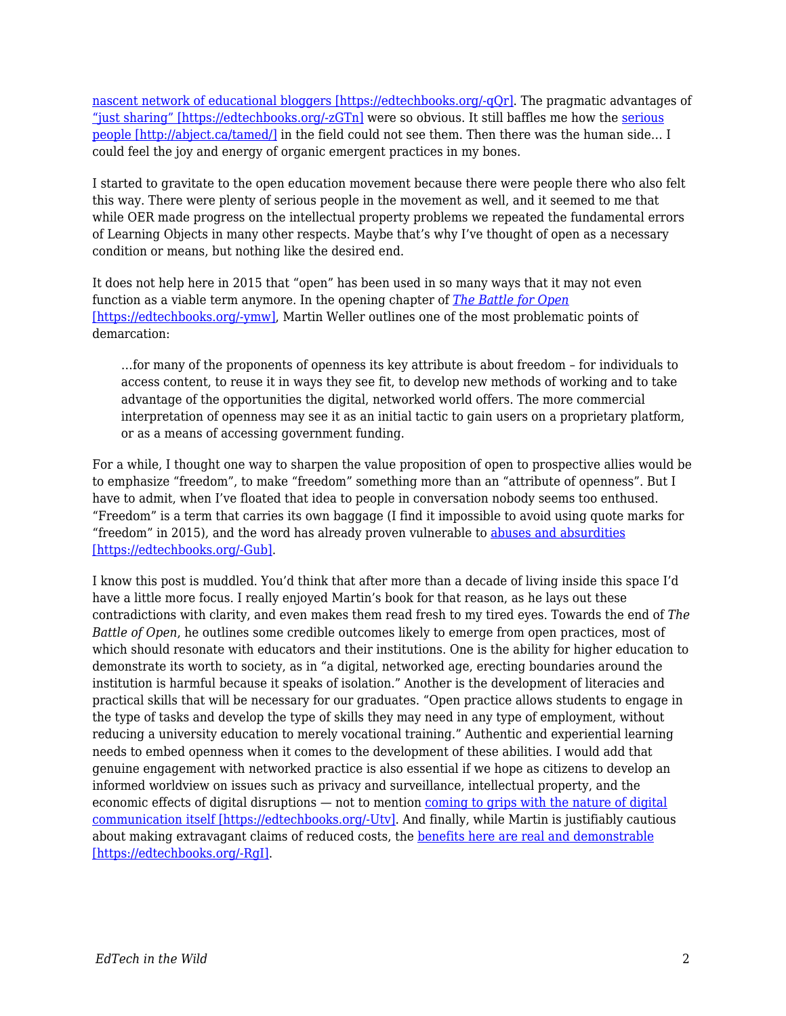[nascent network of educational bloggers \[https://edtechbooks.org/-qQr\]](http://web.archive.org/web/20060208184701/http://careo.elearning.ubc.ca/cgi-bin/wiki.pl?SmallPiecesLooselyJoined/ParticipantList). The pragmatic advantages of ["just sharing" \[https://edtechbooks.org/-zGTn\]](http://www.edtechpost.ca/wordpress/2008/11/08/just-share-already/) were so obvious. It still baffles me how the [serious](http://abject.ca/tamed/) [people \[http://abject.ca/tamed/\]](http://abject.ca/tamed/) in the field could not see them. Then there was the human side… I could feel the joy and energy of organic emergent practices in my bones.

I started to gravitate to the open education movement because there were people there who also felt this way. There were plenty of serious people in the movement as well, and it seemed to me that while OER made progress on the intellectual property problems we repeated the fundamental errors of Learning Objects in many other respects. Maybe that's why I've thought of open as a necessary condition or means, but nothing like the desired end.

It does not help here in 2015 that "open" has been used in so many ways that it may not even function as a viable term anymore. In the opening chapter of *[The Battle for Open](http://www.ubiquitypress.com/site/books/detail/11/battle-for-open/)* [\[https://edtechbooks.org/-ymw\],](http://www.ubiquitypress.com/site/books/detail/11/battle-for-open/) Martin Weller outlines one of the most problematic points of demarcation:

…for many of the proponents of openness its key attribute is about freedom – for individuals to access content, to reuse it in ways they see fit, to develop new methods of working and to take advantage of the opportunities the digital, networked world offers. The more commercial interpretation of openness may see it as an initial tactic to gain users on a proprietary platform, or as a means of accessing government funding.

For a while, I thought one way to sharpen the value proposition of open to prospective allies would be to emphasize "freedom", to make "freedom" something more than an "attribute of openness". But I have to admit, when I've floated that idea to people in conversation nobody seems too enthused. "Freedom" is a term that carries its own baggage (I find it impossible to avoid using quote marks for "freedom" in 2015), and the word has already proven vulnerable to [abuses and absurdities](http://en.wikipedia.org/wiki/Freedom_fries) [\[https://edtechbooks.org/-Gub\]](http://en.wikipedia.org/wiki/Freedom_fries).

I know this post is muddled. You'd think that after more than a decade of living inside this space I'd have a little more focus. I really enjoyed Martin's book for that reason, as he lays out these contradictions with clarity, and even makes them read fresh to my tired eyes. Towards the end of *The Battle of Open*, he outlines some credible outcomes likely to emerge from open practices, most of which should resonate with educators and their institutions. One is the ability for higher education to demonstrate its worth to society, as in "a digital, networked age, erecting boundaries around the institution is harmful because it speaks of isolation." Another is the development of literacies and practical skills that will be necessary for our graduates. "Open practice allows students to engage in the type of tasks and develop the type of skills they may need in any type of employment, without reducing a university education to merely vocational training." Authentic and experiential learning needs to embed openness when it comes to the development of these abilities. I would add that genuine engagement with networked practice is also essential if we hope as citizens to develop an informed worldview on issues such as privacy and surveillance, intellectual property, and the economic effects of digital disruptions — not to mention [coming to grips with the nature of digital](http://hapgood.us/2015/04/01/picketty-remix-and-the-most-important-student-blog-comment-of-the-21st-century/) [communication itself \[https://edtechbooks.org/-Utv\]](http://hapgood.us/2015/04/01/picketty-remix-and-the-most-important-student-blog-comment-of-the-21st-century/). And finally, while Martin is justifiably cautious about making extravagant claims of reduced costs, the [benefits here are real and demonstrable](http://opencontent.org/blog/archives/3791) [\[https://edtechbooks.org/-RgI\].](http://opencontent.org/blog/archives/3791)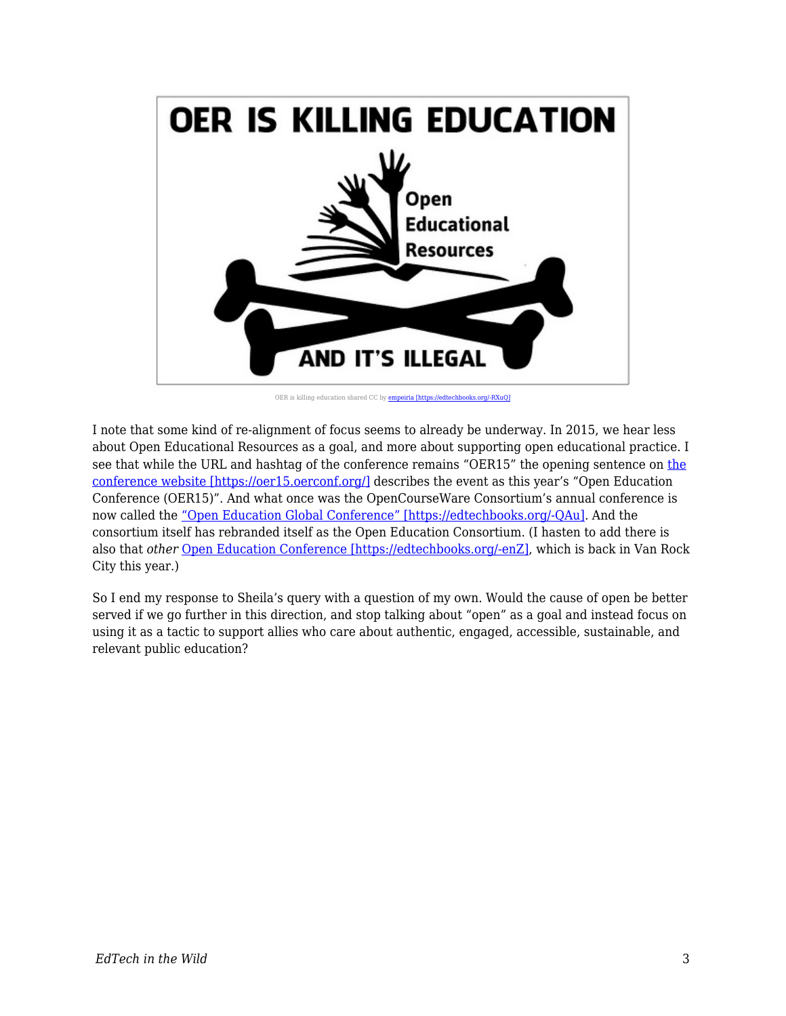

OER is killing education shared CC by [empeiria \[https://edtechbooks.org/-RXuQ\]](http://flickr.com/people/empeiria)

I note that some kind of re-alignment of focus seems to already be underway. In 2015, we hear less about Open Educational Resources as a goal, and more about supporting open educational practice. I see that while the URL and hashtag of the conference remains "OER15" the opening sentence on [the](https://oer15.oerconf.org/) [conference website \[https://oer15.oerconf.org/\]](https://oer15.oerconf.org/) describes the event as this year's "Open Education Conference (OER15)". And what once was the OpenCourseWare Consortium's annual conference is now called the ["Open Education Global Conference" \[https://edtechbooks.org/-QAu\].](http://conference.oeconsortium.org/2015/) And the consortium itself has rebranded itself as the Open Education Consortium. (I hasten to add there is also that *other* [Open Education Conference \[https://edtechbooks.org/-enZ\]](http://openedconference.org/2015/), which is back in Van Rock City this year.)

So I end my response to Sheila's query with a question of my own. Would the cause of open be better served if we go further in this direction, and stop talking about "open" as a goal and instead focus on using it as a tactic to support allies who care about authentic, engaged, accessible, sustainable, and relevant public education?